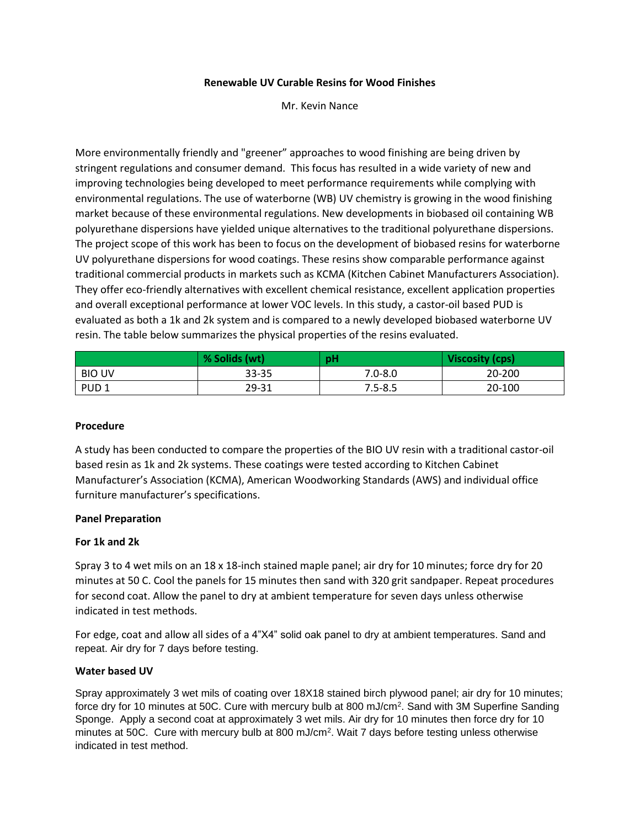## **Renewable UV Curable Resins for Wood Finishes**

Mr. Kevin Nance

More environmentally friendly and "greener" approaches to wood finishing are being driven by stringent regulations and consumer demand. This focus has resulted in a wide variety of new and improving technologies being developed to meet performance requirements while complying with environmental regulations. The use of waterborne (WB) UV chemistry is growing in the wood finishing market because of these environmental regulations. New developments in biobased oil containing WB polyurethane dispersions have yielded unique alternatives to the traditional polyurethane dispersions. The project scope of this work has been to focus on the development of biobased resins for waterborne UV polyurethane dispersions for wood coatings. These resins show comparable performance against traditional commercial products in markets such as KCMA (Kitchen Cabinet Manufacturers Association). They offer eco-friendly alternatives with excellent chemical resistance, excellent application properties and overall exceptional performance at lower VOC levels. In this study, a castor-oil based PUD is evaluated as both a 1k and 2k system and is compared to a newly developed biobased waterborne UV resin. The table below summarizes the physical properties of the resins evaluated.

|                  | % Solids (wt) | pH          | Viscosity (cps) |
|------------------|---------------|-------------|-----------------|
| <b>BIO UV</b>    | 33-35         | $7.0 - 8.0$ | 20-200          |
| PUD <sub>1</sub> | 29-31         | $7.5 - 8.5$ | 20-100          |

# **Procedure**

A study has been conducted to compare the properties of the BIO UV resin with a traditional castor-oil based resin as 1k and 2k systems. These coatings were tested according to Kitchen Cabinet Manufacturer's Association (KCMA), American Woodworking Standards (AWS) and individual office furniture manufacturer's specifications.

#### **Panel Preparation**

#### **For 1k and 2k**

Spray 3 to 4 wet mils on an 18 x 18-inch stained maple panel; air dry for 10 minutes; force dry for 20 minutes at 50 C. Cool the panels for 15 minutes then sand with 320 grit sandpaper. Repeat procedures for second coat. Allow the panel to dry at ambient temperature for seven days unless otherwise indicated in test methods.

For edge, coat and allow all sides of a 4"X4" solid oak panel to dry at ambient temperatures. Sand and repeat. Air dry for 7 days before testing.

# **Water based UV**

Spray approximately 3 wet mils of coating over 18X18 stained birch plywood panel; air dry for 10 minutes; force dry for 10 minutes at 50C. Cure with mercury bulb at 800 mJ/cm<sup>2</sup>. Sand with 3M Superfine Sanding Sponge. Apply a second coat at approximately 3 wet mils. Air dry for 10 minutes then force dry for 10 minutes at 50C. Cure with mercury bulb at 800 mJ/cm<sup>2</sup>. Wait 7 days before testing unless otherwise indicated in test method.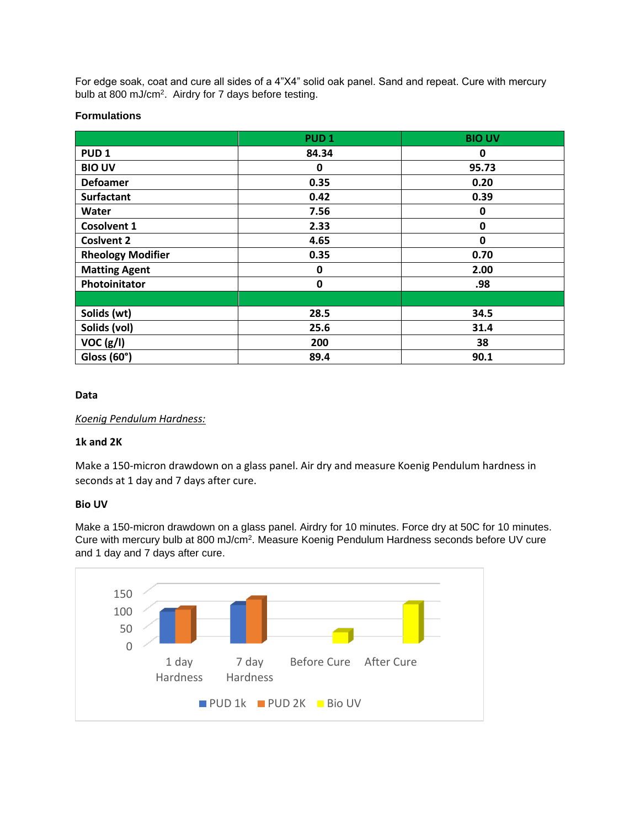For edge soak, coat and cure all sides of a 4"X4" solid oak panel. Sand and repeat. Cure with mercury bulb at 800 mJ/cm<sup>2</sup>. Airdry for 7 days before testing.

## **Formulations**

|                          | PUD <sub>1</sub> | <b>BIO UV</b> |
|--------------------------|------------------|---------------|
| PUD <sub>1</sub>         | 84.34            | 0             |
| <b>BIO UV</b>            | 0                | 95.73         |
| <b>Defoamer</b>          | 0.35             | 0.20          |
| <b>Surfactant</b>        | 0.42             | 0.39          |
| Water                    | 7.56             | 0             |
| <b>Cosolvent 1</b>       | 2.33             | 0             |
| <b>Coslvent 2</b>        | 4.65             | 0             |
| <b>Rheology Modifier</b> | 0.35             | 0.70          |
| <b>Matting Agent</b>     | 0                | 2.00          |
| Photoinitator            | $\mathbf 0$      | .98           |
|                          |                  |               |
| Solids (wt)              | 28.5             | 34.5          |
| Solids (vol)             | 25.6             | 31.4          |
| VOC (g/I)                | 200              | 38            |
| Gloss (60°)              | 89.4             | 90.1          |

## **Data**

*Koenig Pendulum Hardness:*

# **1k and 2K**

Make a 150-micron drawdown on a glass panel. Air dry and measure Koenig Pendulum hardness in seconds at 1 day and 7 days after cure.

#### **Bio UV**

Make a 150-micron drawdown on a glass panel. Airdry for 10 minutes. Force dry at 50C for 10 minutes. Cure with mercury bulb at 800 mJ/cm<sup>2</sup>. Measure Koenig Pendulum Hardness seconds before UV cure and 1 day and 7 days after cure.

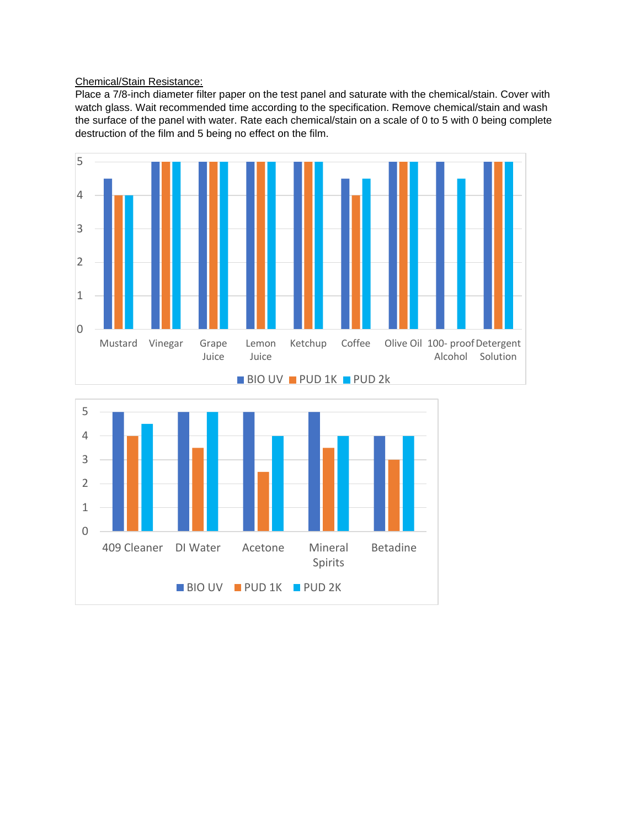## Chemical/Stain Resistance:

Place a 7/8-inch diameter filter paper on the test panel and saturate with the chemical/stain. Cover with watch glass. Wait recommended time according to the specification. Remove chemical/stain and wash the surface of the panel with water. Rate each chemical/stain on a scale of 0 to 5 with 0 being complete destruction of the film and 5 being no effect on the film.



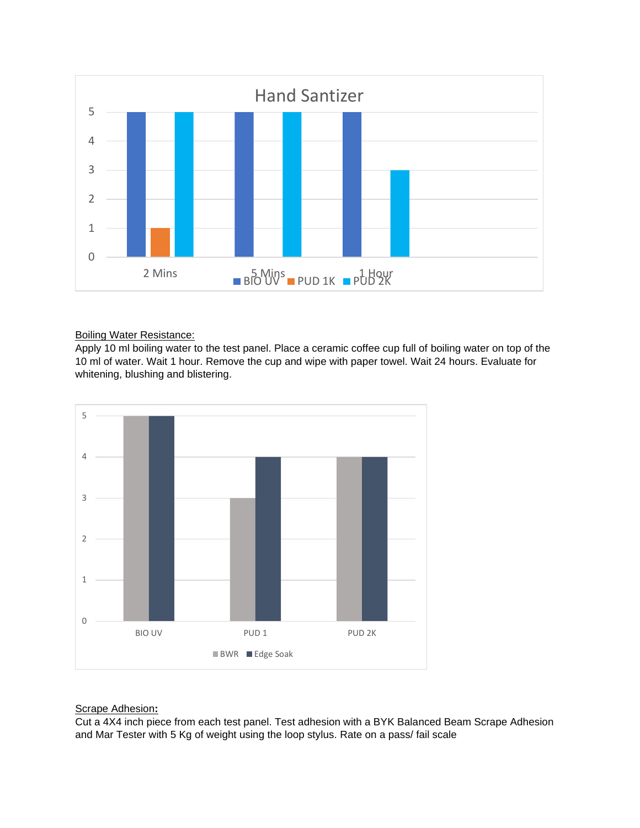

## Boiling Water Resistance:

Apply 10 ml boiling water to the test panel. Place a ceramic coffee cup full of boiling water on top of the 10 ml of water. Wait 1 hour. Remove the cup and wipe with paper towel. Wait 24 hours. Evaluate for whitening, blushing and blistering.



# Scrape Adhesion**:**

Cut a 4X4 inch piece from each test panel. Test adhesion with a BYK Balanced Beam Scrape Adhesion and Mar Tester with 5 Kg of weight using the loop stylus. Rate on a pass/ fail scale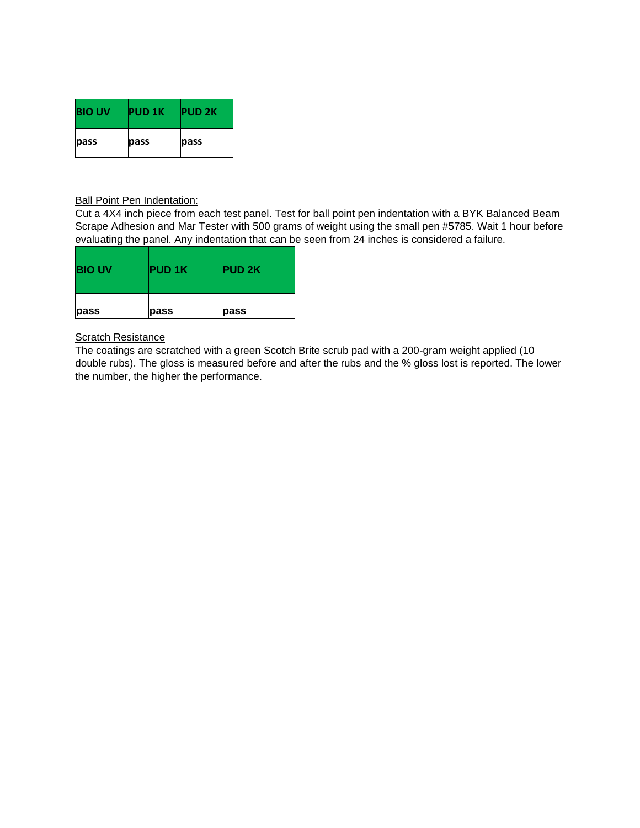| <b>BIO UV</b> | <b>PUD 1K</b> | <b>PUD 2K</b> |
|---------------|---------------|---------------|
| pass          | pass          | pass          |

## **Ball Point Pen Indentation:**

Cut a 4X4 inch piece from each test panel. Test for ball point pen indentation with a BYK Balanced Beam Scrape Adhesion and Mar Tester with 500 grams of weight using the small pen #5785. Wait 1 hour before evaluating the panel. Any indentation that can be seen from 24 inches is considered a failure.

| <b>BIO UV</b> | <b>PUD 1K</b> | <b>PUD 2K</b> |
|---------------|---------------|---------------|
| pass          | pass          | pass          |

## **Scratch Resistance**

The coatings are scratched with a green Scotch Brite scrub pad with a 200-gram weight applied (10 double rubs). The gloss is measured before and after the rubs and the % gloss lost is reported. The lower the number, the higher the performance.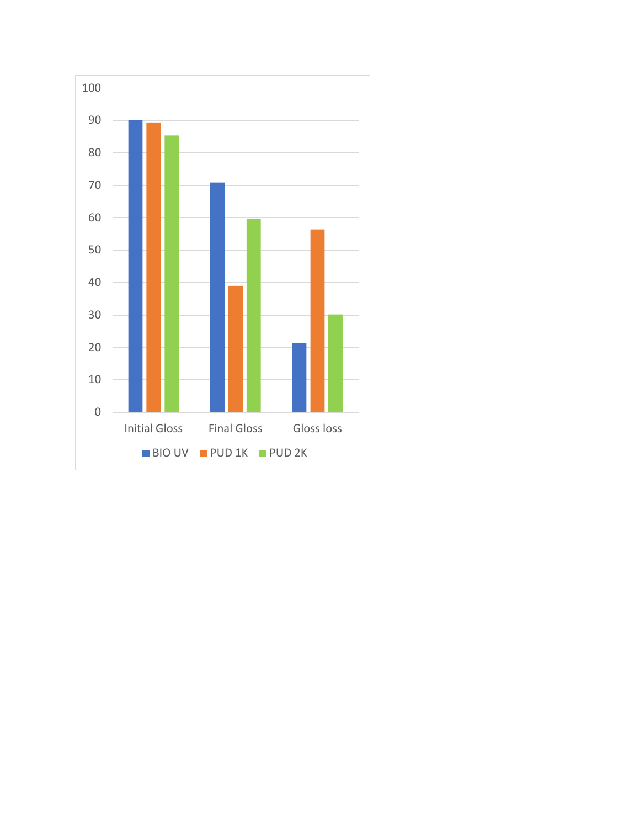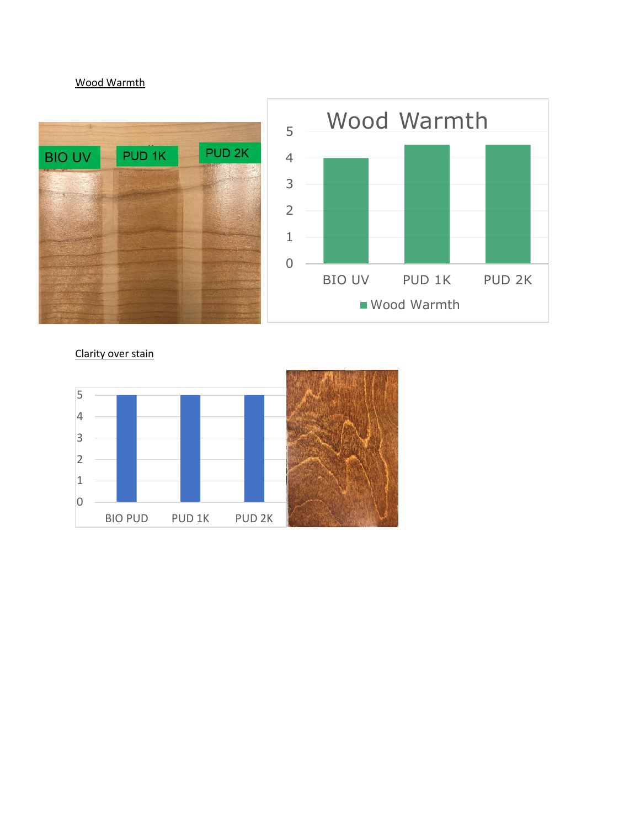# Wood Warmth



Clarity over stain

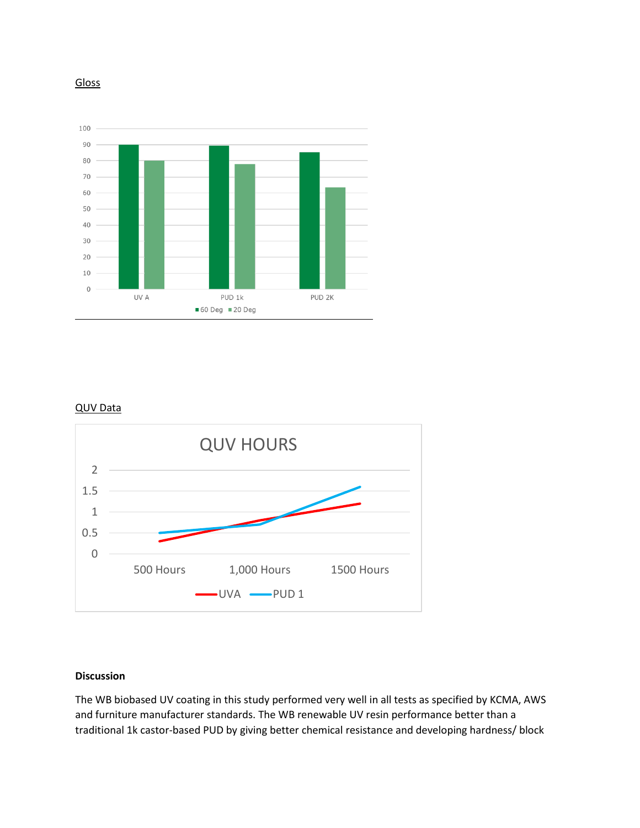



#### QUV Data



# **Discussion**

The WB biobased UV coating in this study performed very well in all tests as specified by KCMA, AWS and furniture manufacturer standards. The WB renewable UV resin performance better than a traditional 1k castor-based PUD by giving better chemical resistance and developing hardness/ block